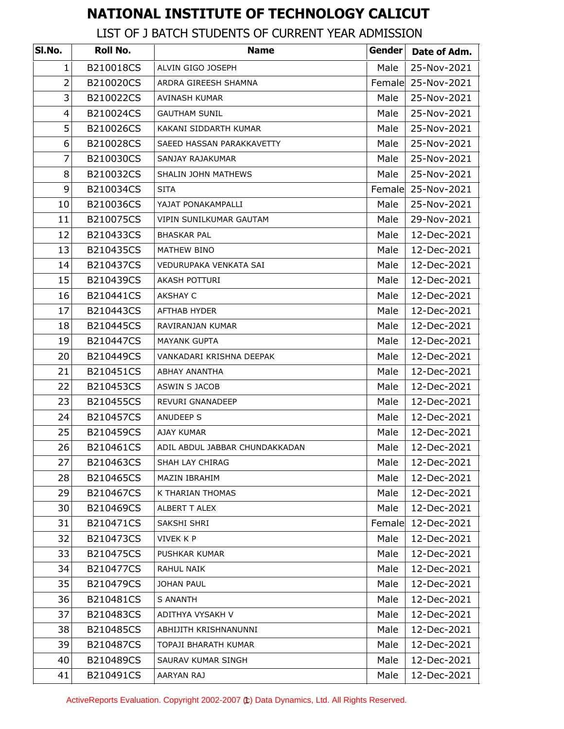## **NATIONAL INSTITUTE OF TECHNOLOGY CALICUT**

## LIST OF J BATCH STUDENTS OF CURRENT YEAR ADMISSION

| SI.No.         | Roll No.  | <b>Name</b>                    | Gender | Date of Adm. |
|----------------|-----------|--------------------------------|--------|--------------|
| 1              | B210018CS | ALVIN GIGO JOSEPH              | Male   | 25-Nov-2021  |
| $\overline{2}$ | B210020CS | ARDRA GIREESH SHAMNA           | Female | 25-Nov-2021  |
| 3              | B210022CS | <b>AVINASH KUMAR</b>           | Male   | 25-Nov-2021  |
| 4              | B210024CS | <b>GAUTHAM SUNIL</b>           | Male   | 25-Nov-2021  |
| 5              | B210026CS | KAKANI SIDDARTH KUMAR          | Male   | 25-Nov-2021  |
| 6              | B210028CS | SAEED HASSAN PARAKKAVETTY      | Male   | 25-Nov-2021  |
| $\overline{7}$ | B210030CS | SANJAY RAJAKUMAR               | Male   | 25-Nov-2021  |
| 8              | B210032CS | SHALIN JOHN MATHEWS            | Male   | 25-Nov-2021  |
| 9              | B210034CS | <b>SITA</b>                    | Female | 25-Nov-2021  |
| 10             | B210036CS | YAJAT PONAKAMPALLI             | Male   | 25-Nov-2021  |
| 11             | B210075CS | VIPIN SUNILKUMAR GAUTAM        | Male   | 29-Nov-2021  |
| 12             | B210433CS | <b>BHASKAR PAL</b>             | Male   | 12-Dec-2021  |
| 13             | B210435CS | <b>MATHEW BINO</b>             | Male   | 12-Dec-2021  |
| 14             | B210437CS | <b>VEDURUPAKA VENKATA SAI</b>  | Male   | 12-Dec-2021  |
| 15             | B210439CS | AKASH POTTURI                  | Male   | 12-Dec-2021  |
| 16             | B210441CS | <b>AKSHAY C</b>                | Male   | 12-Dec-2021  |
| 17             | B210443CS | AFTHAB HYDER                   | Male   | 12-Dec-2021  |
| 18             | B210445CS | RAVIRANJAN KUMAR               | Male   | 12-Dec-2021  |
| 19             | B210447CS | <b>MAYANK GUPTA</b>            | Male   | 12-Dec-2021  |
| 20             | B210449CS | VANKADARI KRISHNA DEEPAK       | Male   | 12-Dec-2021  |
| 21             | B210451CS | ABHAY ANANTHA                  | Male   | 12-Dec-2021  |
| 22             | B210453CS | <b>ASWIN S JACOB</b>           | Male   | 12-Dec-2021  |
| 23             | B210455CS | <b>REVURI GNANADEEP</b>        | Male   | 12-Dec-2021  |
| 24             | B210457CS | ANUDEEP S                      | Male   | 12-Dec-2021  |
| 25             | B210459CS | AJAY KUMAR                     | Male   | 12-Dec-2021  |
| 26             | B210461CS | ADIL ABDUL JABBAR CHUNDAKKADAN | Male   | 12-Dec-2021  |
| 27             | B210463CS | SHAH LAY CHIRAG                | Male   | 12-Dec-2021  |
| 28             | B210465CS | MAZIN IBRAHIM                  | Male   | 12-Dec-2021  |
| 29             | B210467CS | K THARIAN THOMAS               | Male   | 12-Dec-2021  |
| 30             | B210469CS | ALBERT T ALEX                  | Male   | 12-Dec-2021  |
| 31             | B210471CS | SAKSHI SHRI                    | Female | 12-Dec-2021  |
| 32             | B210473CS | VIVEK K P                      | Male   | 12-Dec-2021  |
| 33             | B210475CS | <b>PUSHKAR KUMAR</b>           | Male   | 12-Dec-2021  |
| 34             | B210477CS | RAHUL NAIK                     | Male   | 12-Dec-2021  |
| 35             | B210479CS | JOHAN PAUL                     | Male   | 12-Dec-2021  |
| 36             | B210481CS | S ANANTH                       | Male   | 12-Dec-2021  |
| 37             | B210483CS | ADITHYA VYSAKH V               | Male   | 12-Dec-2021  |
| 38             | B210485CS | ABHIJITH KRISHNANUNNI          | Male   | 12-Dec-2021  |
| 39             | B210487CS | TOPAJI BHARATH KUMAR           | Male   | 12-Dec-2021  |
| 40             | B210489CS | SAURAV KUMAR SINGH             | Male   | 12-Dec-2021  |
| 41             | B210491CS | AARYAN RAJ                     | Male   | 12-Dec-2021  |

ActiveReports Evaluation. Copyright 2002-2007 (t) Data Dynamics, Ltd. All Rights Reserved.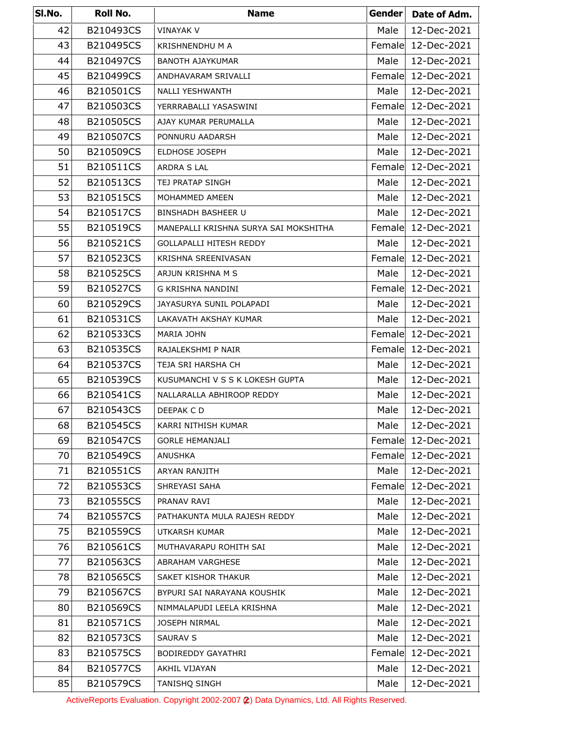| SI.No. | <b>Roll No.</b> | <b>Name</b>                           | Gender | Date of Adm.       |
|--------|-----------------|---------------------------------------|--------|--------------------|
| 42     | B210493CS       | <b>VINAYAK V</b>                      | Male   | 12-Dec-2021        |
| 43     | B210495CS       | KRISHNENDHU M A                       | Female | 12-Dec-2021        |
| 44     | B210497CS       | <b>BANOTH AJAYKUMAR</b>               | Male   | 12-Dec-2021        |
| 45     | B210499CS       | ANDHAVARAM SRIVALLI                   | Female | 12-Dec-2021        |
| 46     | B210501CS       | NALLI YESHWANTH                       | Male   | 12-Dec-2021        |
| 47     | B210503CS       | YERRRABALLI YASASWINI                 |        | Female 12-Dec-2021 |
| 48     | B210505CS       | AJAY KUMAR PERUMALLA                  | Male   | 12-Dec-2021        |
| 49     | B210507CS       | PONNURU AADARSH                       | Male   | 12-Dec-2021        |
| 50     | B210509CS       | ELDHOSE JOSEPH                        | Male   | 12-Dec-2021        |
| 51     | B210511CS       | ARDRA S LAL                           | Female | 12-Dec-2021        |
| 52     | B210513CS       | TEJ PRATAP SINGH                      | Male   | 12-Dec-2021        |
| 53     | B210515CS       | MOHAMMED AMEEN                        | Male   | 12-Dec-2021        |
| 54     | B210517CS       | <b>BINSHADH BASHEER U</b>             | Male   | 12-Dec-2021        |
| 55     | B210519CS       | MANEPALLI KRISHNA SURYA SAI MOKSHITHA | Female | 12-Dec-2021        |
| 56     | B210521CS       | <b>GOLLAPALLI HITESH REDDY</b>        | Male   | 12-Dec-2021        |
| 57     | B210523CS       | KRISHNA SREENIVASAN                   | Female | 12-Dec-2021        |
| 58     | B210525CS       | ARJUN KRISHNA M S                     | Male   | 12-Dec-2021        |
| 59     | B210527CS       | G KRISHNA NANDINI                     |        | Female 12-Dec-2021 |
| 60     | B210529CS       | JAYASURYA SUNIL POLAPADI              | Male   | 12-Dec-2021        |
| 61     | B210531CS       | LAKAVATH AKSHAY KUMAR                 | Male   | 12-Dec-2021        |
| 62     | B210533CS       | MARIA JOHN                            | Female | 12-Dec-2021        |
| 63     | B210535CS       | RAJALEKSHMI P NAIR                    |        | Female 12-Dec-2021 |
| 64     | B210537CS       | TEJA SRI HARSHA CH                    | Male   | 12-Dec-2021        |
| 65     | B210539CS       | KUSUMANCHI V S S K LOKESH GUPTA       | Male   | 12-Dec-2021        |
| 66     | B210541CS       | NALLARALLA ABHIROOP REDDY             | Male   | 12-Dec-2021        |
| 67     | B210543CS       | DEEPAK C D                            | Male   | 12-Dec-2021        |
| 68     | B210545CS       | KARRI NITHISH KUMAR                   | Male   | 12-Dec-2021        |
| 69     | B210547CS       | <b>GORLE HEMANJALI</b>                | Female | 12-Dec-2021        |
| 70     | B210549CS       | <b>ANUSHKA</b>                        | Female | 12-Dec-2021        |
| 71     | B210551CS       | ARYAN RANJITH                         | Male   | 12-Dec-2021        |
| 72     | B210553CS       | SHREYASI SAHA                         | Female | 12-Dec-2021        |
| 73     | B210555CS       | PRANAV RAVI                           | Male   | 12-Dec-2021        |
| 74     | B210557CS       | PATHAKUNTA MULA RAJESH REDDY          | Male   | 12-Dec-2021        |
| 75     | B210559CS       | <b>UTKARSH KUMAR</b>                  | Male   | 12-Dec-2021        |
| 76     | B210561CS       | MUTHAVARAPU ROHITH SAI                | Male   | 12-Dec-2021        |
| 77     | B210563CS       | ABRAHAM VARGHESE                      | Male   | 12-Dec-2021        |
| 78     | B210565CS       | SAKET KISHOR THAKUR                   | Male   | 12-Dec-2021        |
| 79     | B210567CS       | BYPURI SAI NARAYANA KOUSHIK           | Male   | 12-Dec-2021        |
| 80     | B210569CS       | NIMMALAPUDI LEELA KRISHNA             | Male   | 12-Dec-2021        |
| 81     | B210571CS       | <b>JOSEPH NIRMAL</b>                  | Male   | 12-Dec-2021        |
| 82     | B210573CS       | <b>SAURAV S</b>                       | Male   | 12-Dec-2021        |
| 83     | B210575CS       | BODIREDDY GAYATHRI                    | Female | 12-Dec-2021        |
| 84     | B210577CS       | AKHIL VIJAYAN                         | Male   | 12-Dec-2021        |
| 85     | B210579CS       | TANISHQ SINGH                         | Male   | 12-Dec-2021        |

ActiveReports Evaluation. Copyright 2002-2007 (2) Data Dynamics, Ltd. All Rights Reserved.